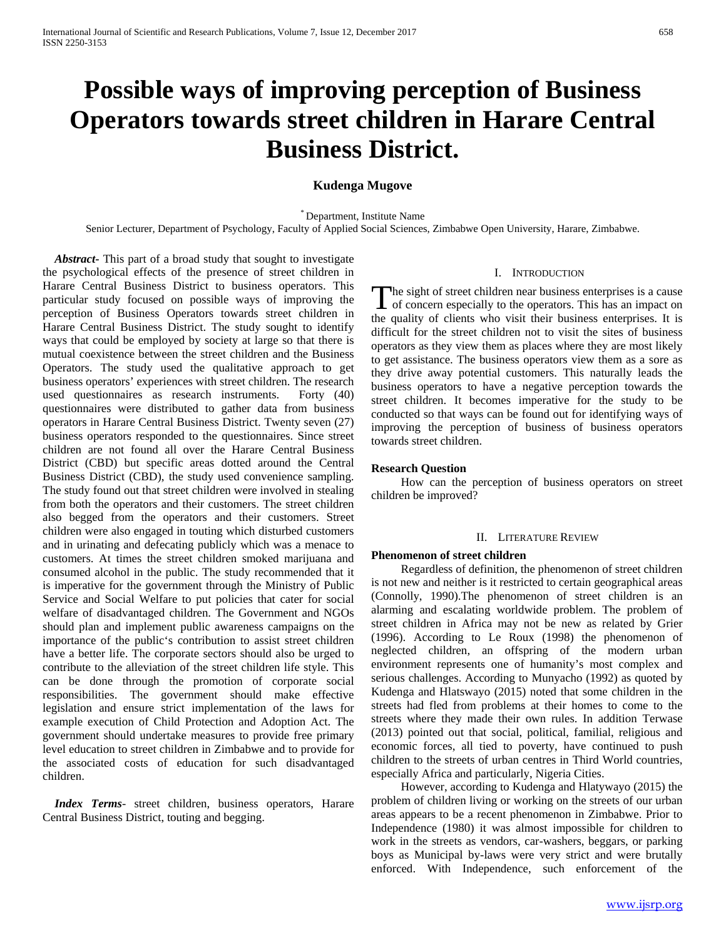# **Possible ways of improving perception of Business Operators towards street children in Harare Central Business District.**

# **Kudenga Mugove**

\* Department, Institute Name

Senior Lecturer, Department of Psychology, Faculty of Applied Social Sciences, Zimbabwe Open University, Harare, Zimbabwe.

 *Abstract***-** This part of a broad study that sought to investigate the psychological effects of the presence of street children in Harare Central Business District to business operators. This particular study focused on possible ways of improving the perception of Business Operators towards street children in Harare Central Business District. The study sought to identify ways that could be employed by society at large so that there is mutual coexistence between the street children and the Business Operators. The study used the qualitative approach to get business operators' experiences with street children. The research used questionnaires as research instruments. Forty (40) questionnaires were distributed to gather data from business operators in Harare Central Business District. Twenty seven (27) business operators responded to the questionnaires. Since street children are not found all over the Harare Central Business District (CBD) but specific areas dotted around the Central Business District (CBD), the study used convenience sampling. The study found out that street children were involved in stealing from both the operators and their customers. The street children also begged from the operators and their customers. Street children were also engaged in touting which disturbed customers and in urinating and defecating publicly which was a menace to customers. At times the street children smoked marijuana and consumed alcohol in the public. The study recommended that it is imperative for the government through the Ministry of Public Service and Social Welfare to put policies that cater for social welfare of disadvantaged children. The Government and NGOs should plan and implement public awareness campaigns on the importance of the public's contribution to assist street children have a better life. The corporate sectors should also be urged to contribute to the alleviation of the street children life style. This can be done through the promotion of corporate social responsibilities. The government should make effective legislation and ensure strict implementation of the laws for example execution of Child Protection and Adoption Act. The government should undertake measures to provide free primary level education to street children in Zimbabwe and to provide for the associated costs of education for such disadvantaged children.

 *Index Terms*- street children, business operators, Harare Central Business District, touting and begging.

# I. INTRODUCTION

he sight of street children near business enterprises is a cause The sight of street children near business enterprises is a cause<br>of concern especially to the operators. This has an impact on the quality of clients who visit their business enterprises. It is difficult for the street children not to visit the sites of business operators as they view them as places where they are most likely to get assistance. The business operators view them as a sore as they drive away potential customers. This naturally leads the business operators to have a negative perception towards the street children. It becomes imperative for the study to be conducted so that ways can be found out for identifying ways of improving the perception of business of business operators towards street children.

## **Research Question**

 How can the perception of business operators on street children be improved?

#### II. LITERATURE REVIEW

# **Phenomenon of street children**

 Regardless of definition, the phenomenon of street children is not new and neither is it restricted to certain geographical areas (Connolly, 1990).The phenomenon of street children is an alarming and escalating worldwide problem. The problem of street children in Africa may not be new as related by Grier (1996). According to Le Roux (1998) the phenomenon of neglected children, an offspring of the modern urban environment represents one of humanity's most complex and serious challenges. According to Munyacho (1992) as quoted by Kudenga and Hlatswayo (2015) noted that some children in the streets had fled from problems at their homes to come to the streets where they made their own rules. In addition Terwase (2013) pointed out that social, political, familial, religious and economic forces, all tied to poverty, have continued to push children to the streets of urban centres in Third World countries, especially Africa and particularly, Nigeria Cities.

 However, according to Kudenga and Hlatywayo (2015) the problem of children living or working on the streets of our urban areas appears to be a recent phenomenon in Zimbabwe. Prior to Independence (1980) it was almost impossible for children to work in the streets as vendors, car-washers, beggars, or parking boys as Municipal by-laws were very strict and were brutally enforced. With Independence, such enforcement of the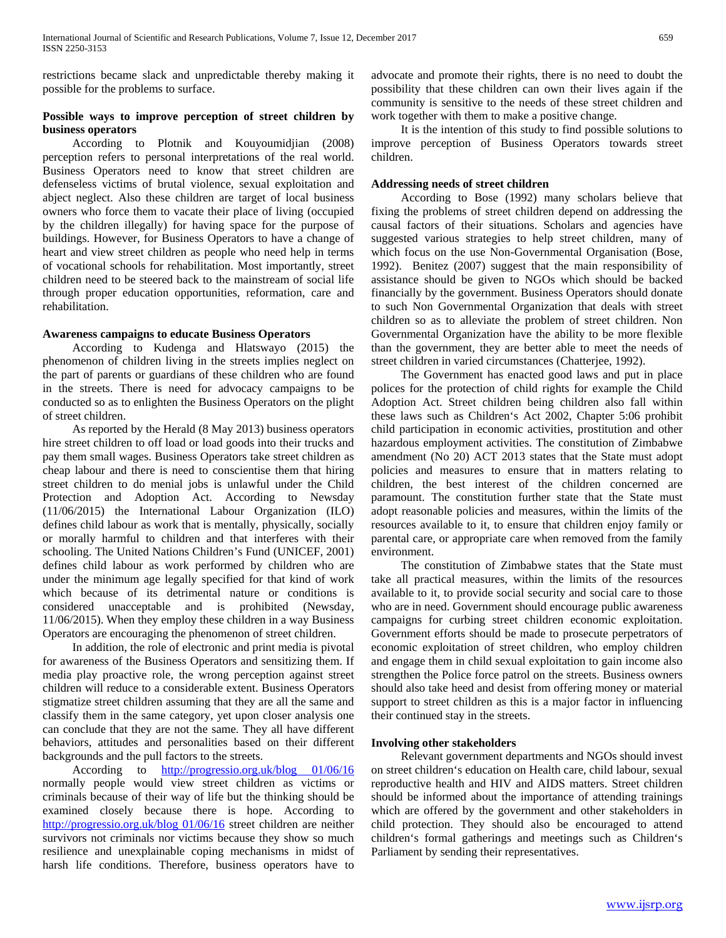restrictions became slack and unpredictable thereby making it possible for the problems to surface.

# **Possible ways to improve perception of street children by business operators**

 According to Plotnik and Kouyoumidjian (2008) perception refers to personal interpretations of the real world. Business Operators need to know that street children are defenseless victims of brutal violence, sexual exploitation and abject neglect. Also these children are target of local business owners who force them to vacate their place of living (occupied by the children illegally) for having space for the purpose of buildings. However, for Business Operators to have a change of heart and view street children as people who need help in terms of vocational schools for rehabilitation. Most importantly, street children need to be steered back to the mainstream of social life through proper education opportunities, reformation, care and rehabilitation.

## **Awareness campaigns to educate Business Operators**

 According to Kudenga and Hlatswayo (2015) the phenomenon of children living in the streets implies neglect on the part of parents or guardians of these children who are found in the streets. There is need for advocacy campaigns to be conducted so as to enlighten the Business Operators on the plight of street children.

 As reported by the Herald (8 May 2013) business operators hire street children to off load or load goods into their trucks and pay them small wages. Business Operators take street children as cheap labour and there is need to conscientise them that hiring street children to do menial jobs is unlawful under the Child Protection and Adoption Act. According to Newsday (11/06/2015) the International Labour Organization (ILO) defines child labour as work that is mentally, physically, socially or morally harmful to children and that interferes with their schooling. The United Nations Children's Fund (UNICEF, 2001) defines child labour as work performed by children who are under the minimum age legally specified for that kind of work which because of its detrimental nature or conditions is considered unacceptable and is prohibited (Newsday, 11/06/2015). When they employ these children in a way Business Operators are encouraging the phenomenon of street children.

 In addition, the role of electronic and print media is pivotal for awareness of the Business Operators and sensitizing them. If media play proactive role, the wrong perception against street children will reduce to a considerable extent. Business Operators stigmatize street children assuming that they are all the same and classify them in the same category, yet upon closer analysis one can conclude that they are not the same. They all have different behaviors, attitudes and personalities based on their different backgrounds and the pull factors to the streets.

 According to [http://progressio.org.uk/blog 01/06/16](http://progressio.org.uk/blog%2001/06/16)  normally people would view street children as victims or criminals because of their way of life but the thinking should be examined closely because there is hope. According to [http://progressio.org.uk/blog 01/06/16](http://progressio.org.uk/blog%2001/06/16) street children are neither survivors not criminals nor victims because they show so much resilience and unexplainable coping mechanisms in midst of harsh life conditions. Therefore, business operators have to

advocate and promote their rights, there is no need to doubt the possibility that these children can own their lives again if the community is sensitive to the needs of these street children and work together with them to make a positive change.

 It is the intention of this study to find possible solutions to improve perception of Business Operators towards street children.

# **Addressing needs of street children**

 According to Bose (1992) many scholars believe that fixing the problems of street children depend on addressing the causal factors of their situations. Scholars and agencies have suggested various strategies to help street children, many of which focus on the use Non-Governmental Organisation (Bose, 1992). Benitez (2007) suggest that the main responsibility of assistance should be given to NGOs which should be backed financially by the government. Business Operators should donate to such Non Governmental Organization that deals with street children so as to alleviate the problem of street children. Non Governmental Organization have the ability to be more flexible than the government, they are better able to meet the needs of street children in varied circumstances (Chatterjee, 1992).

 The Government has enacted good laws and put in place polices for the protection of child rights for example the Child Adoption Act. Street children being children also fall within these laws such as Children's Act 2002, Chapter 5:06 prohibit child participation in economic activities, prostitution and other hazardous employment activities. The constitution of Zimbabwe amendment (No 20) ACT 2013 states that the State must adopt policies and measures to ensure that in matters relating to children, the best interest of the children concerned are paramount. The constitution further state that the State must adopt reasonable policies and measures, within the limits of the resources available to it, to ensure that children enjoy family or parental care, or appropriate care when removed from the family environment.

 The constitution of Zimbabwe states that the State must take all practical measures, within the limits of the resources available to it, to provide social security and social care to those who are in need. Government should encourage public awareness campaigns for curbing street children economic exploitation. Government efforts should be made to prosecute perpetrators of economic exploitation of street children, who employ children and engage them in child sexual exploitation to gain income also strengthen the Police force patrol on the streets. Business owners should also take heed and desist from offering money or material support to street children as this is a major factor in influencing their continued stay in the streets.

# **Involving other stakeholders**

 Relevant government departments and NGOs should invest on street children's education on Health care, child labour, sexual reproductive health and HIV and AIDS matters. Street children should be informed about the importance of attending trainings which are offered by the government and other stakeholders in child protection. They should also be encouraged to attend children's formal gatherings and meetings such as Children's Parliament by sending their representatives.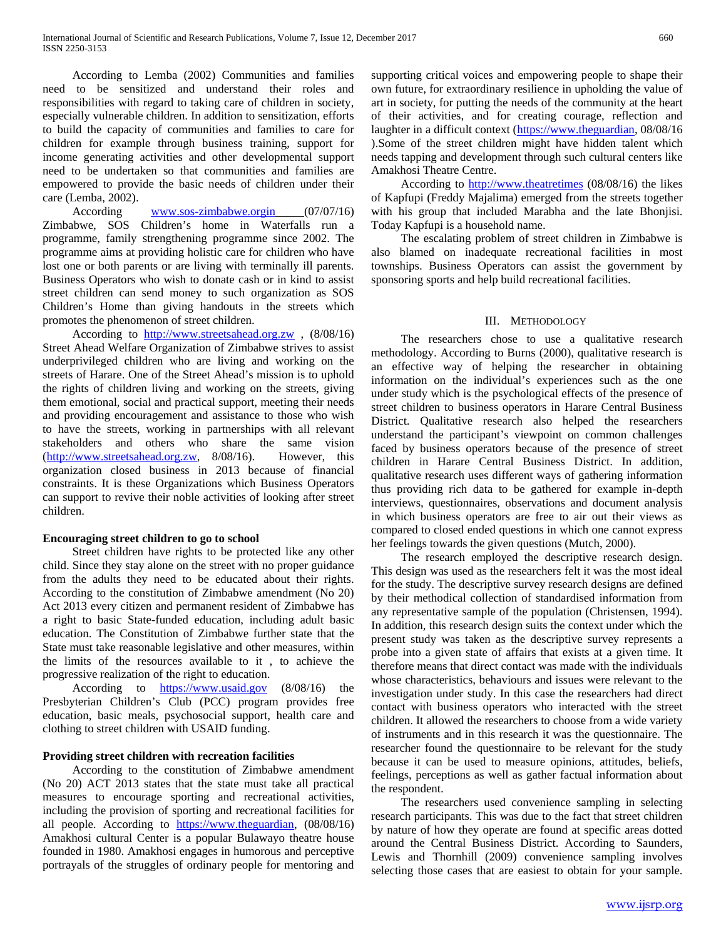According to Lemba (2002) Communities and families need to be sensitized and understand their roles and responsibilities with regard to taking care of children in society, especially vulnerable children. In addition to sensitization, efforts to build the capacity of communities and families to care for children for example through business training, support for income generating activities and other developmental support need to be undertaken so that communities and families are empowered to provide the basic needs of children under their care (Lemba, 2002).

 According [www.sos-zimbabwe.orgin](http://www.sos-zimbabwe.orgin/) (07/07/16) Zimbabwe, SOS Children's home in Waterfalls run a programme, family strengthening programme since 2002. The programme aims at providing holistic care for children who have lost one or both parents or are living with terminally ill parents. Business Operators who wish to donate cash or in kind to assist street children can send money to such organization as SOS Children's Home than giving handouts in the streets which promotes the phenomenon of street children.

 According to [http://www.streetsahead.org.zw](http://www.streetsahead.org.zw/) , (8/08/16) Street Ahead Welfare Organization of Zimbabwe strives to assist underprivileged children who are living and working on the streets of Harare. One of the Street Ahead's mission is to uphold the rights of children living and working on the streets, giving them emotional, social and practical support, meeting their needs and providing encouragement and assistance to those who wish to have the streets, working in partnerships with all relevant stakeholders and others who share the same vision [\(http://www.streetsahead.org.zw,](http://www.streetsahead.org.zw/) 8/08/16). However, this organization closed business in 2013 because of financial constraints. It is these Organizations which Business Operators can support to revive their noble activities of looking after street children.

# **Encouraging street children to go to school**

 Street children have rights to be protected like any other child. Since they stay alone on the street with no proper guidance from the adults they need to be educated about their rights. According to the constitution of Zimbabwe amendment (No 20) Act 2013 every citizen and permanent resident of Zimbabwe has a right to basic State-funded education, including adult basic education. The Constitution of Zimbabwe further state that the State must take reasonable legislative and other measures, within the limits of the resources available to it , to achieve the progressive realization of the right to education.

 According to [https://www.usaid.gov](https://www.usaid.gov/) (8/08/16) the Presbyterian Children's Club (PCC) program provides free education, basic meals, psychosocial support, health care and clothing to street children with USAID funding.

## **Providing street children with recreation facilities**

 According to the constitution of Zimbabwe amendment (No 20) ACT 2013 states that the state must take all practical measures to encourage sporting and recreational activities, including the provision of sporting and recreational facilities for all people. According to [https://www.theguardian,](https://www.theguardian/) (08/08/16) Amakhosi cultural Center is a popular Bulawayo theatre house founded in 1980. Amakhosi engages in humorous and perceptive portrayals of the struggles of ordinary people for mentoring and supporting critical voices and empowering people to shape their own future, for extraordinary resilience in upholding the value of art in society, for putting the needs of the community at the heart of their activities, and for creating courage, reflection and laughter in a difficult context [\(https://www.theguardian,](https://www.theguardian/) 08/08/16 ).Some of the street children might have hidden talent which needs tapping and development through such cultural centers like Amakhosi Theatre Centre.

 According to [http://www.theatretimes](http://www.theatretimes/) (08/08/16) the likes of Kapfupi (Freddy Majalima) emerged from the streets together with his group that included Marabha and the late Bhonjisi. Today Kapfupi is a household name.

 The escalating problem of street children in Zimbabwe is also blamed on inadequate recreational facilities in most townships. Business Operators can assist the government by sponsoring sports and help build recreational facilities.

## III. METHODOLOGY

 The researchers chose to use a qualitative research methodology. According to Burns (2000), qualitative research is an effective way of helping the researcher in obtaining information on the individual's experiences such as the one under study which is the psychological effects of the presence of street children to business operators in Harare Central Business District. Qualitative research also helped the researchers understand the participant's viewpoint on common challenges faced by business operators because of the presence of street children in Harare Central Business District. In addition, qualitative research uses different ways of gathering information thus providing rich data to be gathered for example in-depth interviews, questionnaires, observations and document analysis in which business operators are free to air out their views as compared to closed ended questions in which one cannot express her feelings towards the given questions (Mutch, 2000).

 The research employed the descriptive research design. This design was used as the researchers felt it was the most ideal for the study. The descriptive survey research designs are defined by their methodical collection of standardised information from any representative sample of the population (Christensen, 1994). In addition, this research design suits the context under which the present study was taken as the descriptive survey represents a probe into a given state of affairs that exists at a given time. It therefore means that direct contact was made with the individuals whose characteristics, behaviours and issues were relevant to the investigation under study. In this case the researchers had direct contact with business operators who interacted with the street children. It allowed the researchers to choose from a wide variety of instruments and in this research it was the questionnaire. The researcher found the questionnaire to be relevant for the study because it can be used to measure opinions, attitudes, beliefs, feelings, perceptions as well as gather factual information about the respondent.

 The researchers used convenience sampling in selecting research participants. This was due to the fact that street children by nature of how they operate are found at specific areas dotted around the Central Business District. According to Saunders, Lewis and Thornhill (2009) convenience sampling involves selecting those cases that are easiest to obtain for your sample.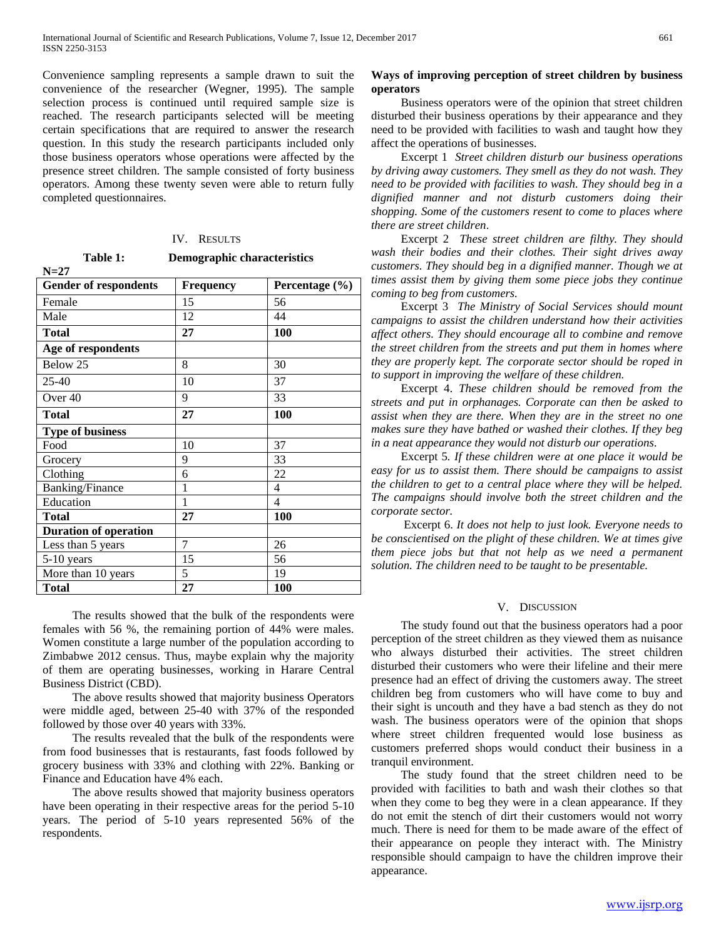Convenience sampling represents a sample drawn to suit the convenience of the researcher (Wegner, 1995). The sample selection process is continued until required sample size is reached. The research participants selected will be meeting certain specifications that are required to answer the research question. In this study the research participants included only those business operators whose operations were affected by the presence street children. The sample consisted of forty business operators. Among these twenty seven were able to return fully completed questionnaires.

### IV. RESULTS

|        | Table 1: | <b>Demographic characteristics</b> |
|--------|----------|------------------------------------|
| $N=27$ |          |                                    |

| <b>Gender of respondents</b> | Frequency | Percentage (%) |
|------------------------------|-----------|----------------|
| Female                       | 15        | 56             |
| Male                         | 12        | 44             |
| <b>Total</b>                 | 27        | 100            |
| Age of respondents           |           |                |
| Below 25                     | 8         | 30             |
| $25-40$                      | 10        | 37             |
| Over <sub>40</sub>           | 9         | 33             |
| <b>Total</b>                 | 27        | 100            |
| <b>Type of business</b>      |           |                |
| Food                         | 10        | 37             |
| Grocery                      | 9         | 33             |
| Clothing                     | 6         | 22             |
| <b>Banking/Finance</b>       | 1         | 4              |
| Education                    | 1         | 4              |
| <b>Total</b>                 | 27        | 100            |
| <b>Duration of operation</b> |           |                |
| Less than 5 years            | 7         | 26             |
| $5-10$ years                 | 15        | 56             |
| More than 10 years           | 5         | 19             |
| <b>Total</b>                 | 27        | 100            |

 The results showed that the bulk of the respondents were females with 56 %, the remaining portion of 44% were males. Women constitute a large number of the population according to Zimbabwe 2012 census. Thus, maybe explain why the majority of them are operating businesses, working in Harare Central Business District (CBD).

 The above results showed that majority business Operators were middle aged, between 25-40 with 37% of the responded followed by those over 40 years with 33%.

 The results revealed that the bulk of the respondents were from food businesses that is restaurants, fast foods followed by grocery business with 33% and clothing with 22%. Banking or Finance and Education have 4% each.

 The above results showed that majority business operators have been operating in their respective areas for the period 5-10 years. The period of 5-10 years represented 56% of the respondents.

# **Ways of improving perception of street children by business operators**

 Business operators were of the opinion that street children disturbed their business operations by their appearance and they need to be provided with facilities to wash and taught how they affect the operations of businesses.

 Excerpt 1 *Street children disturb our business operations by driving away customers. They smell as they do not wash. They need to be provided with facilities to wash. They should beg in a dignified manner and not disturb customers doing their shopping. Some of the customers resent to come to places where there are street children*.

 Excerpt 2 *These street children are filthy. They should wash their bodies and their clothes. Their sight drives away customers. They should beg in a dignified manner. Though we at times assist them by giving them some piece jobs they continue coming to beg from customers.*

 Excerpt 3 *The Ministry of Social Services should mount campaigns to assist the children understand how their activities affect others. They should encourage all to combine and remove the street children from the streets and put them in homes where they are properly kept. The corporate sector should be roped in to support in improving the welfare of these children.*

 Excerpt 4. *These children should be removed from the streets and put in orphanages. Corporate can then be asked to assist when they are there. When they are in the street no one makes sure they have bathed or washed their clothes. If they beg in a neat appearance they would not disturb our operations*.

 Excerpt 5*. If these children were at one place it would be easy for us to assist them. There should be campaigns to assist the children to get to a central place where they will be helped. The campaigns should involve both the street children and the corporate sector.*

 Excerpt 6. *It does not help to just look. Everyone needs to be conscientised on the plight of these children. We at times give them piece jobs but that not help as we need a permanent solution. The children need to be taught to be presentable.*

## V. DISCUSSION

 The study found out that the business operators had a poor perception of the street children as they viewed them as nuisance who always disturbed their activities. The street children disturbed their customers who were their lifeline and their mere presence had an effect of driving the customers away. The street children beg from customers who will have come to buy and their sight is uncouth and they have a bad stench as they do not wash. The business operators were of the opinion that shops where street children frequented would lose business as customers preferred shops would conduct their business in a tranquil environment.

 The study found that the street children need to be provided with facilities to bath and wash their clothes so that when they come to beg they were in a clean appearance. If they do not emit the stench of dirt their customers would not worry much. There is need for them to be made aware of the effect of their appearance on people they interact with. The Ministry responsible should campaign to have the children improve their appearance.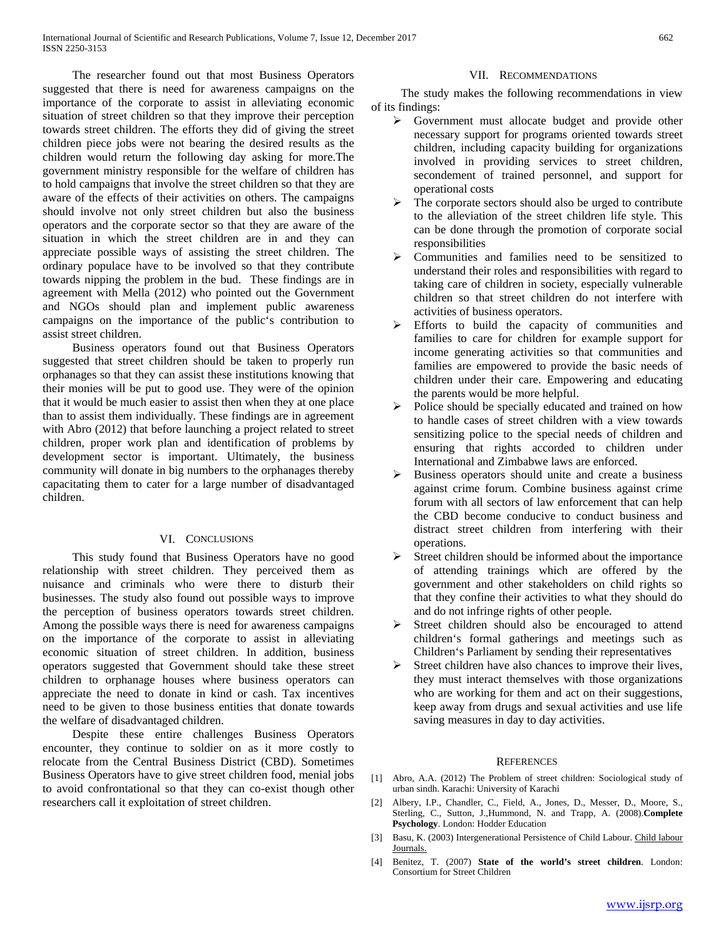The researcher found out that most Business Operators suggested that there is need for awareness campaigns on the importance of the corporate to assist in alleviating economic situation of street children so that they improve their perception towards street children. The efforts they did of giving the street children piece jobs were not bearing the desired results as the children would return the following day asking for more.The government ministry responsible for the welfare of children has to hold campaigns that involve the street children so that they are aware of the effects of their activities on others. The campaigns should involve not only street children but also the business operators and the corporate sector so that they are aware of the situation in which the street children are in and they can appreciate possible ways of assisting the street children. The ordinary populace have to be involved so that they contribute towards nipping the problem in the bud. These findings are in agreement with Mella (2012) who pointed out the Government and NGOs should plan and implement public awareness campaigns on the importance of the public's contribution to assist street children.

 Business operators found out that Business Operators suggested that street children should be taken to properly run orphanages so that they can assist these institutions knowing that their monies will be put to good use. They were of the opinion that it would be much easier to assist then when they at one place than to assist them individually. These findings are in agreement with Abro (2012) that before launching a project related to street children, proper work plan and identification of problems by development sector is important. Ultimately, the business community will donate in big numbers to the orphanages thereby capacitating them to cater for a large number of disadvantaged children.

# VI. CONCLUSIONS

 This study found that Business Operators have no good relationship with street children. They perceived them as nuisance and criminals who were there to disturb their businesses. The study also found out possible ways to improve the perception of business operators towards street children. Among the possible ways there is need for awareness campaigns on the importance of the corporate to assist in alleviating economic situation of street children. In addition, business operators suggested that Government should take these street children to orphanage houses where business operators can appreciate the need to donate in kind or cash. Tax incentives need to be given to those business entities that donate towards the welfare of disadvantaged children.

 Despite these entire challenges Business Operators encounter, they continue to soldier on as it more costly to relocate from the Central Business District (CBD). Sometimes Business Operators have to give street children food, menial jobs to avoid confrontational so that they can co-exist though other researchers call it exploitation of street children.

## VII. RECOMMENDATIONS

 The study makes the following recommendations in view of its findings:

- $\triangleright$  Government must allocate budget and provide other necessary support for programs oriented towards street children, including capacity building for organizations involved in providing services to street children, secondement of trained personnel, and support for operational costs
- $\triangleright$  The corporate sectors should also be urged to contribute to the alleviation of the street children life style. This can be done through the promotion of corporate social responsibilities
- Communities and families need to be sensitized to understand their roles and responsibilities with regard to taking care of children in society, especially vulnerable children so that street children do not interfere with activities of business operators.
- $\triangleright$  Efforts to build the capacity of communities and families to care for children for example support for income generating activities so that communities and families are empowered to provide the basic needs of children under their care. Empowering and educating the parents would be more helpful.
- $\triangleright$  Police should be specially educated and trained on how to handle cases of street children with a view towards sensitizing police to the special needs of children and ensuring that rights accorded to children under International and Zimbabwe laws are enforced.
- $\triangleright$  Business operators should unite and create a business against crime forum. Combine business against crime forum with all sectors of law enforcement that can help the CBD become conducive to conduct business and distract street children from interfering with their operations.
- Street children should be informed about the importance of attending trainings which are offered by the government and other stakeholders on child rights so that they confine their activities to what they should do and do not infringe rights of other people.
- $\triangleright$  Street children should also be encouraged to attend children's formal gatherings and meetings such as Children's Parliament by sending their representatives
- $\triangleright$  Street children have also chances to improve their lives, they must interact themselves with those organizations who are working for them and act on their suggestions, keep away from drugs and sexual activities and use life saving measures in day to day activities.

## **REFERENCES**

- [1] Abro, A.A. (2012) The Problem of street children: Sociological study of urban sindh. Karachi: University of Karachi
- [2] Albery, I.P., Chandler, C., Field, A., Jones, D., Messer, D., Moore, S., Sterling, C., Sutton, J.,Hummond, N. and Trapp, A. (2008).**Complete Psychology**. London: Hodder Education
- [3] Basu, K. (2003) Intergenerational Persistence of Child Labour. Child labour Journals.
- [4] Benitez, T. (2007) **State of the world's street children**. London: Consortium for Street Children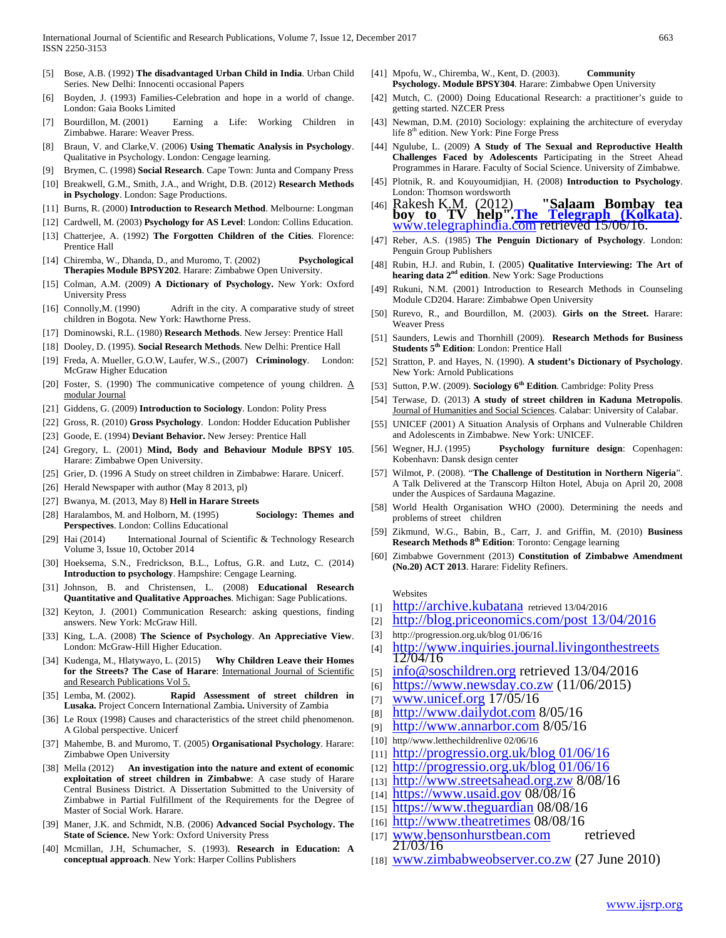- [5] Bose, A.B. (1992) **The disadvantaged Urban Child in India**. Urban Child Series. New Delhi: Innocenti occasional Papers
- [6] Boyden, J. (1993) Families-Celebration and hope in a world of change. London: Gaia Books Limited
- [7] Bourdillon, M. (2001) Earning a Life: Working Children in Zimbabwe. Harare: Weaver Press.
- [8] Braun, V. and Clarke,V. (2006) **Using Thematic Analysis in Psychology**. Qualitative in Psychology. London: Cengage learning.
- [9] Brymen, C. (1998) **Social Research**. Cape Town: Junta and Company Press
- [10] Breakwell, G.M., Smith, J.A., and Wright, D.B. (2012) **Research Methods in Psychology**. London: Sage Productions.
- [11] Burns, R. (2000) **Introduction to Research Method**. Melbourne: Longman
- [12] Cardwell, M. (2003) **Psychology for AS Level**: London: Collins Education.
- [13] Chatterjee, A. (1992) **The Forgotten Children of the Cities**. Florence: Prentice Hall
- [14] Chiremba, W., Dhanda, D., and Muromo, T. (2002) **Psychological Therapies Module BPSY202**. Harare: Zimbabwe Open University.
- [15] Colman, A.M. (2009) **A Dictionary of Psychology.** New York: Oxford University Press
- [16] Connolly, M. (1990) Adrift in the city. A comparative study of street children in Bogota. New York: Hawthorne Press.
- [17] Dominowski, R.L. (1980) **Research Methods**. New Jersey: Prentice Hall
- [18] Dooley, D. (1995). **Social Research Methods**. New Delhi: Prentice Hall
- [19] Freda, A. Mueller, G.O.W, Laufer, W.S., (2007) **Criminology**. London: McGraw Higher Education
- [20] Foster, S. (1990) The communicative competence of young children.  $\underline{A}$ modular Journal
- [21] Giddens, G. (2009) **Introduction to Sociology**. London: Polity Press
- [22] Gross, R. (2010) **Gross Psychology**. London: Hodder Education Publisher
- [23] Goode, E. (1994) **Deviant Behavior.** New Jersey: Prentice Hall
- [24] Gregory, L. (2001) **Mind, Body and Behaviour Module BPSY 105**. Harare: Zimbabwe Open University.
- [25] Grier, D. (1996 A Study on street children in Zimbabwe: Harare. Unicerf.
- [26] Herald Newspaper with author (May 8 2013, pl)
- [27] Bwanya, M. (2013, May 8) **Hell in Harare Streets**
- [28] Haralambos, M. and Holborn, M. (1995) **Sociology: Themes and Perspectives**. London: Collins Educational
- [29] Hai (2014) International Journal of Scientific & Technology Research Volume 3, Issue 10, October 2014
- [30] Hoeksema, S.N., Fredrickson, B.L., Loftus, G.R. and Lutz, C. (2014) **Introduction to psychology**. Hampshire: Cengage Learning.
- [31] Johnson, B. and Christensen, L. (2008) **Educational Research Quantitative and Qualitative Approaches**. Michigan: Sage Publications.
- [32] Keyton, J. (2001) Communication Research: asking questions, finding answers. New York: McGraw Hill.
- [33] King, L.A. (2008) **The Science of Psychology**. **An Appreciative View**. London: McGraw-Hill Higher Education.
- [34] Kudenga, M., Hlatywayo, L. (2015) **Why Children Leave their Homes for the Streets? The Case of Harare**: International Journal of Scientific and Research Publications Vol 5.
- [35] Lemba, M. (2002). **Rapid Assessment of street children in Lusaka.** Project Concern International Zambia**.** University of Zambia
- [36] Le Roux (1998) Causes and characteristics of the street child phenomenon. A Global perspective. Unicerf
- [37] Mahembe, B. and Muromo, T. (2005) **Organisational Psychology**. Harare: Zimbabwe Open University
- [38] Mella (2012) **An investigation into the nature and extent of economic exploitation of street children in Zimbabwe**: A case study of Harare Central Business District. A Dissertation Submitted to the University of Zimbabwe in Partial Fulfillment of the Requirements for the Degree of Master of Social Work. Harare.
- [39] Maner, J.K. and Schmidt, N.B. (2006) **Advanced Social Psychology. The State of Science.** New York: Oxford University Press
- [40] Mcmillan, J.H, Schumacher, S. (1993). **Research in Education: A conceptual approach**. New York: Harper Collins Publishers
- [41] Mpofu, W., Chiremba, W., Kent, D. (2003). **Community Psychology. Module BPSY304**. Harare: Zimbabwe Open University
- [42] Mutch, C. (2000) Doing Educational Research: a practitioner's guide to getting started. NZCER Press
- [43] Newman, D.M. (2010) Sociology: explaining the architecture of everyday life 8<sup>th</sup> edition. New York: Pine Forge Press
- [44] Ngulube, L. (2009) **A Study of The Sexual and Reproductive Health Challenges Faced by Adolescents** Participating in the Street Ahead Programmes in Harare. Faculty of Social Science. University of Zimbabwe.
- [45] Plotnik, R. and Kouyoumidjian, H. (2008) **Introduction to Psychology**. London: Thomson wordsworth
- [46] Rakesh K.M. (2012) **["Salaam Bombay tea boy to TV help".](http://www.telegraphindia.com/1120501/jsp/frontpage/story_15439629.jsp#.U52mx5SSyAo)The [Telegraph \(Kolkata\)](http://www.telegraphindia.com/1120501/jsp/frontpage/story_15439629.jsp#.U52mx5SSyAo)**. [www.telegraphindia.com](http://www.telegraphindia.com/) retrieved 15/06/16.
- [47] Reber, A.S. (1985) **The Penguin Dictionary of Psychology**. London: Penguin Group Publishers
- [48] Rubin, H.J. and Rubin, I. (2005) **Qualitative Interviewing: The Art of hearing data 2nd edition**. New York: Sage Productions
- [49] Rukuni, N.M. (2001) Introduction to Research Methods in Counseling Module CD204. Harare: Zimbabwe Open University
- [50] Rurevo, R., and Bourdillon, M. (2003). **Girls on the Street.** Harare: Weaver Press
- [51] Saunders, Lewis and Thornhill (2009). **Research Methods for Business Students 5th Edition**: London: Prentice Hall
- [52] Stratton, P. and Hayes, N. (1990). **A student's Dictionary of Psychology**. New York: Arnold Publications
- [53] Sutton, P.W. (2009). **Sociology 6th Edition**. Cambridge: Polity Press
- [54] Terwase, D. (2013) **A study of street children in Kaduna Metropolis**. Journal of Humanities and Social Sciences. Calabar: University of Calabar.
- [55] UNICEF (2001) A Situation Analysis of Orphans and Vulnerable Children and Adolescents in Zimbabwe. New York: UNICEF.
- [56] Wegner, H.J. (1995) **Psychology furniture design**: Copenhagen: Kobenhavn: Dansk design center
- [57] Wilmot, P. (2008). "**The Challenge of Destitution in Northern Nigeria**". A Talk Delivered at the Transcorp Hilton Hotel, Abuja on April 20, 2008 under the Auspices of Sardauna Magazine.
- [58] World Health Organisation WHO (2000). Determining the needs and problems of street children
- [59] Zikmund, W.G., Babin, B., Carr, J. and Griffin, M. (2010) **Business Research Methods 8th Edition**: Toronto: Cengage learning
- [60] Zimbabwe Government (2013) **Constitution of Zimbabwe Amendment (No.20) ACT 2013**. Harare: Fidelity Refiners.

#### Websites

- [1] [http://archive.kubatana](http://archive.kubatana/) retrieved 13/04/2016
- [2] [http://blog.priceonomics.com/post 13/04/2016](http://blog.priceonomics.com/post%2013/04/2016)
- [3] http://progression.org.uk/blog 01/06/16
- [4] [http://www.inquiries.journal.livingonthestreets 12/04/16](http://www.inquiries.journal.livingonthestreets/)
- [5] [info@soschildren.org](mailto:info@soschildren.org) retrieved  $13/04/2016$
- $_{[6]}$  [https://www.newsday.co.zw](https://www.newsday.co.zw/) (11/06/2015)
- [7] [www.unicef.org](http://www.unicef.org/) 17/05/16
- [8] [http://www.dailydot.com](http://www.dailydot.com/)  $8/05/16$
- [9] [http://www.annarbor.com](http://www.annarbor.com/) 8/05/16
- [10] http//www.letthechildrenlive 02/06/16
- $[11]$  http://progressio.org.uk/blog  $01/06/16$
- [12] [http://progressio.org.uk/blog 01/06/16](http://progressio.org.uk/blog%2001/06/16)
- [13] [http://www.streetsahead.org.zw](http://www.streetsahead.org.zw/) 8/08/16
- [14] [https://www.usaid.gov](https://www.usaid.gov/) 08/08/16
- [15] [https://www.theguardian](https://www.theguardian/) 08/08/16
- 
- $\frac{[16]}{[17]}$  www.theatretimes 08/08/16<br> $\frac{[17]}{[17]}$  www.bensonhurstbean.com retrieved  $[17]$  [www.bensonhurstbean.com](http://www.bensonhurstbean.com/) 21/03/16
- [18] [www.zimbabweobserver.co.zw](http://www.zimbabweobserver.co.zw/) (27 June 2010)